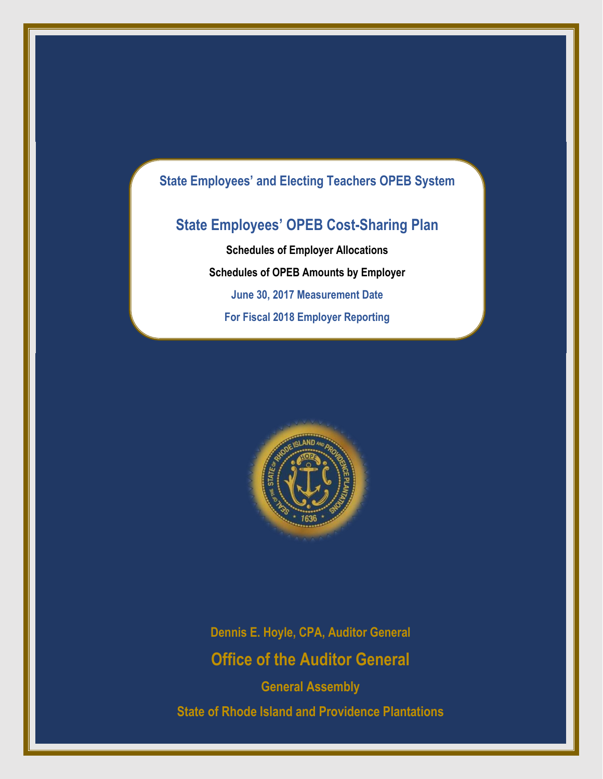# **State Employees' and Electing Teachers OPEB System**

# **State Employees' OPEB Cost-Sharing Plan**

**Schedules of Employer Allocations Schedules of OPEB Amounts by Employer June 30, 2017 Measurement Date For Fiscal 2018 Employer Reporting**



**Dennis E. Hoyle, CPA, Auditor General Office of the Auditor General**

**General Assembly State of Rhode Island and Providence Plantations**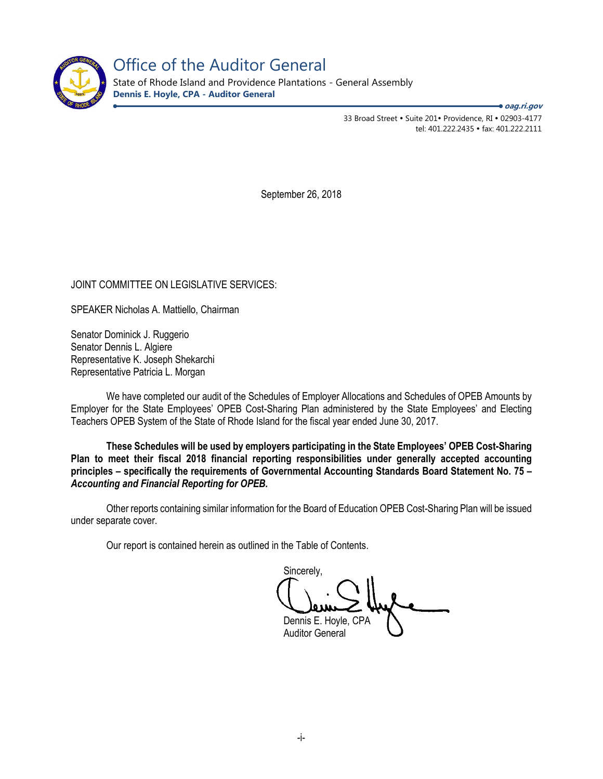

Office of the Auditor General

State of Rhode Island and Providence Plantations - General Assembly **Dennis E. Hoyle, CPA - Auditor General**

**oag.ri.gov**

33 Broad Street • Suite 201• Providence, RI • 02903-4177 tel: 401.222.2435 fax: 401.222.2111

September 26, 2018

JOINT COMMITTEE ON LEGISLATIVE SERVICES:

SPEAKER Nicholas A. Mattiello, Chairman

Senator Dominick J. Ruggerio Senator Dennis L. Algiere Representative K. Joseph Shekarchi Representative Patricia L. Morgan

We have completed our audit of the Schedules of Employer Allocations and Schedules of OPEB Amounts by Employer for the State Employees' OPEB Cost-Sharing Plan administered by the State Employees' and Electing Teachers OPEB System of the State of Rhode Island for the fiscal year ended June 30, 2017.

**These Schedules will be used by employers participating in the State Employees' OPEB Cost-Sharing Plan to meet their fiscal 2018 financial reporting responsibilities under generally accepted accounting principles – specifically the requirements of Governmental Accounting Standards Board Statement No. 75 –** *Accounting and Financial Reporting for OPEB.* 

Other reports containing similar information for the Board of Education OPEB Cost-Sharing Plan will be issued under separate cover.

Our report is contained herein as outlined in the Table of Contents.

Sincerely, Dennis E. Hoyle, CPA Auditor General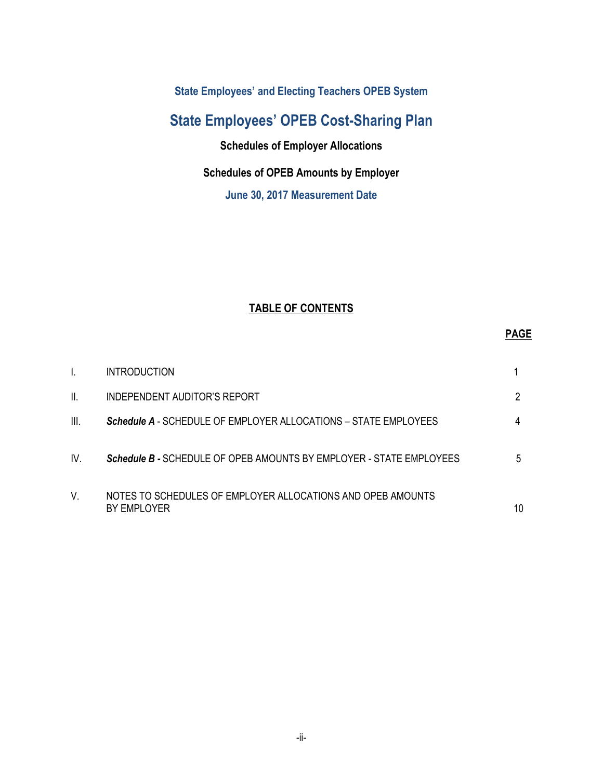**State Employees' and Electing Teachers OPEB System** 

# **State Employees' OPEB Cost-Sharing Plan**

**Schedules of Employer Allocations**

## **Schedules of OPEB Amounts by Employer**

**June 30, 2017 Measurement Date** 

## **TABLE OF CONTENTS**

### **PAGE**

|      | <b>INTRODUCTION</b>                                                        |    |
|------|----------------------------------------------------------------------------|----|
| II.  | INDEPENDENT AUDITOR'S REPORT                                               |    |
| III. | Schedule A - SCHEDULE OF EMPLOYER ALLOCATIONS - STATE EMPLOYEES            |    |
| IV.  | Schedule B - SCHEDULE OF OPEB AMOUNTS BY EMPLOYER - STATE EMPLOYEES        | 5  |
| V.   | NOTES TO SCHEDULES OF EMPLOYER ALLOCATIONS AND OPEB AMOUNTS<br>BY EMPLOYER | 10 |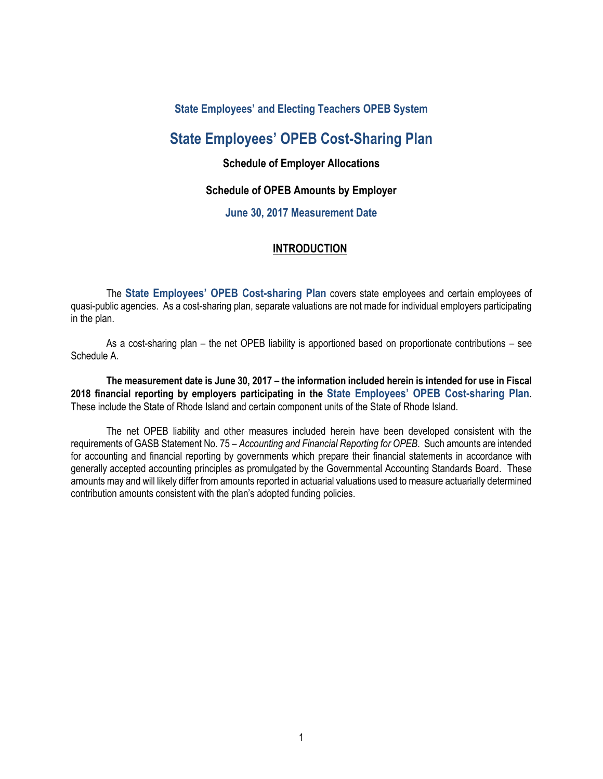### **State Employees' and Electing Teachers OPEB System**

## **State Employees' OPEB Cost-Sharing Plan**

### **Schedule of Employer Allocations**

### **Schedule of OPEB Amounts by Employer**

### **June 30, 2017 Measurement Date**

### **INTRODUCTION**

The **State Employees' OPEB Cost-sharing Plan** covers state employees and certain employees of quasi-public agencies. As a cost-sharing plan, separate valuations are not made for individual employers participating in the plan.

As a cost-sharing plan – the net OPEB liability is apportioned based on proportionate contributions – see Schedule A.

**The measurement date is June 30, 2017 – the information included herein is intended for use in Fiscal 2018 financial reporting by employers participating in the State Employees' OPEB Cost-sharing Plan.** These include the State of Rhode Island and certain component units of the State of Rhode Island.

The net OPEB liability and other measures included herein have been developed consistent with the requirements of GASB Statement No. 75 – *Accounting and Financial Reporting for OPEB*. Such amounts are intended for accounting and financial reporting by governments which prepare their financial statements in accordance with generally accepted accounting principles as promulgated by the Governmental Accounting Standards Board. These amounts may and will likely differ from amounts reported in actuarial valuations used to measure actuarially determined contribution amounts consistent with the plan's adopted funding policies.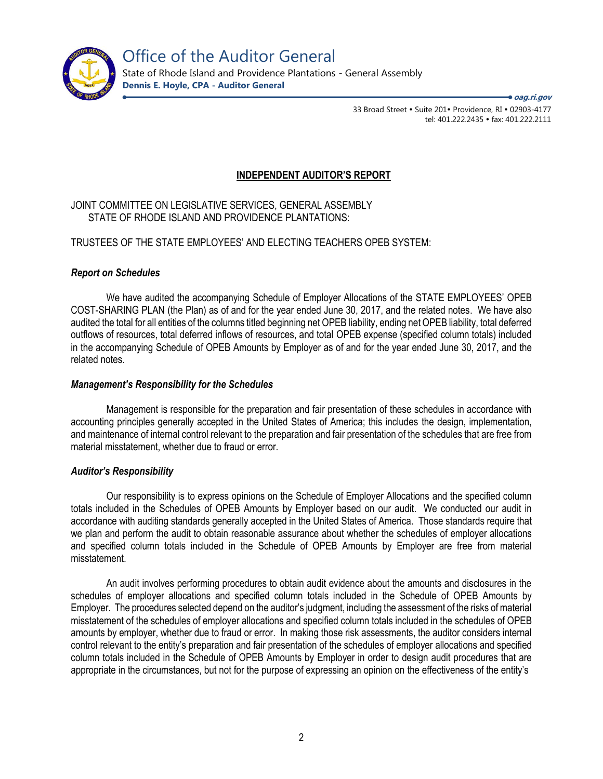

State of Rhode Island and Providence Plantations - General Assembly **Dennis E. Hoyle, CPA - Auditor General**

**oag.ri.gov**

33 Broad Street • Suite 201• Providence, RI • 02903-4177 tel: 401.222.2435 · fax: 401.222.2111

### **INDEPENDENT AUDITOR'S REPORT**

JOINT COMMITTEE ON LEGISLATIVE SERVICES, GENERAL ASSEMBLY STATE OF RHODE ISLAND AND PROVIDENCE PLANTATIONS:

### TRUSTEES OF THE STATE EMPLOYEES' AND ELECTING TEACHERS OPEB SYSTEM:

### *Report on Schedules*

We have audited the accompanying Schedule of Employer Allocations of the STATE EMPLOYEES' OPEB COST-SHARING PLAN (the Plan) as of and for the year ended June 30, 2017, and the related notes. We have also audited the total for all entities of the columns titled beginning net OPEB liability, ending net OPEB liability, total deferred outflows of resources, total deferred inflows of resources, and total OPEB expense (specified column totals) included in the accompanying Schedule of OPEB Amounts by Employer as of and for the year ended June 30, 2017, and the related notes.

### *Management's Responsibility for the Schedules*

Management is responsible for the preparation and fair presentation of these schedules in accordance with accounting principles generally accepted in the United States of America; this includes the design, implementation, and maintenance of internal control relevant to the preparation and fair presentation of the schedules that are free from material misstatement, whether due to fraud or error.

#### *Auditor's Responsibility*

Our responsibility is to express opinions on the Schedule of Employer Allocations and the specified column totals included in the Schedules of OPEB Amounts by Employer based on our audit. We conducted our audit in accordance with auditing standards generally accepted in the United States of America. Those standards require that we plan and perform the audit to obtain reasonable assurance about whether the schedules of employer allocations and specified column totals included in the Schedule of OPEB Amounts by Employer are free from material misstatement.

An audit involves performing procedures to obtain audit evidence about the amounts and disclosures in the schedules of employer allocations and specified column totals included in the Schedule of OPEB Amounts by Employer. The procedures selected depend on the auditor's judgment, including the assessment of the risks of material misstatement of the schedules of employer allocations and specified column totals included in the schedules of OPEB amounts by employer, whether due to fraud or error. In making those risk assessments, the auditor considers internal control relevant to the entity's preparation and fair presentation of the schedules of employer allocations and specified column totals included in the Schedule of OPEB Amounts by Employer in order to design audit procedures that are appropriate in the circumstances, but not for the purpose of expressing an opinion on the effectiveness of the entity's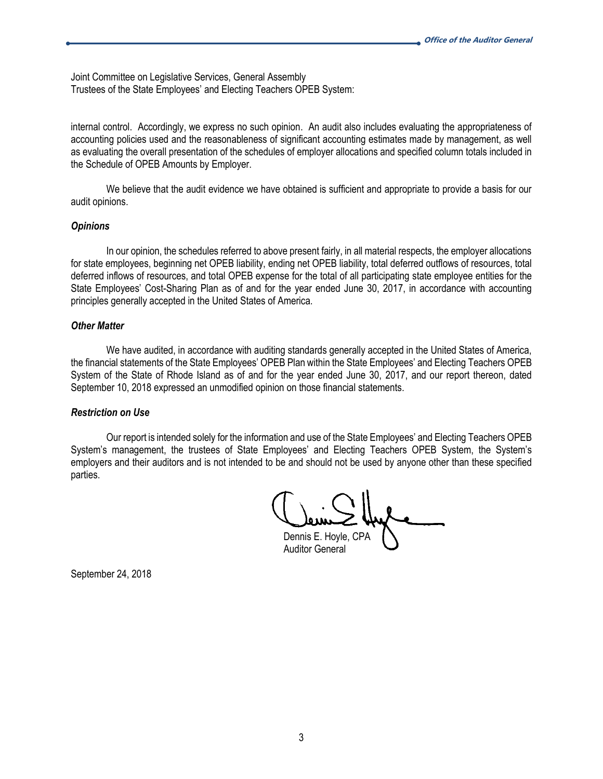Joint Committee on Legislative Services, General Assembly Trustees of the State Employees' and Electing Teachers OPEB System:

internal control. Accordingly, we express no such opinion. An audit also includes evaluating the appropriateness of accounting policies used and the reasonableness of significant accounting estimates made by management, as well as evaluating the overall presentation of the schedules of employer allocations and specified column totals included in the Schedule of OPEB Amounts by Employer.

We believe that the audit evidence we have obtained is sufficient and appropriate to provide a basis for our audit opinions.

#### *Opinions*

In our opinion, the schedules referred to above present fairly, in all material respects, the employer allocations for state employees, beginning net OPEB liability, ending net OPEB liability, total deferred outflows of resources, total deferred inflows of resources, and total OPEB expense for the total of all participating state employee entities for the State Employees' Cost-Sharing Plan as of and for the year ended June 30, 2017, in accordance with accounting principles generally accepted in the United States of America.

#### *Other Matter*

We have audited, in accordance with auditing standards generally accepted in the United States of America, the financial statements of the State Employees' OPEB Plan within the State Employees' and Electing Teachers OPEB System of the State of Rhode Island as of and for the year ended June 30, 2017, and our report thereon, dated September 10, 2018 expressed an unmodified opinion on those financial statements.

#### *Restriction on Use*

Our report is intended solely for the information and use of the State Employees' and Electing Teachers OPEB System's management, the trustees of State Employees' and Electing Teachers OPEB System, the System's employers and their auditors and is not intended to be and should not be used by anyone other than these specified parties.

Dennis E. Hoyle, CPA

Auditor General

September 24, 2018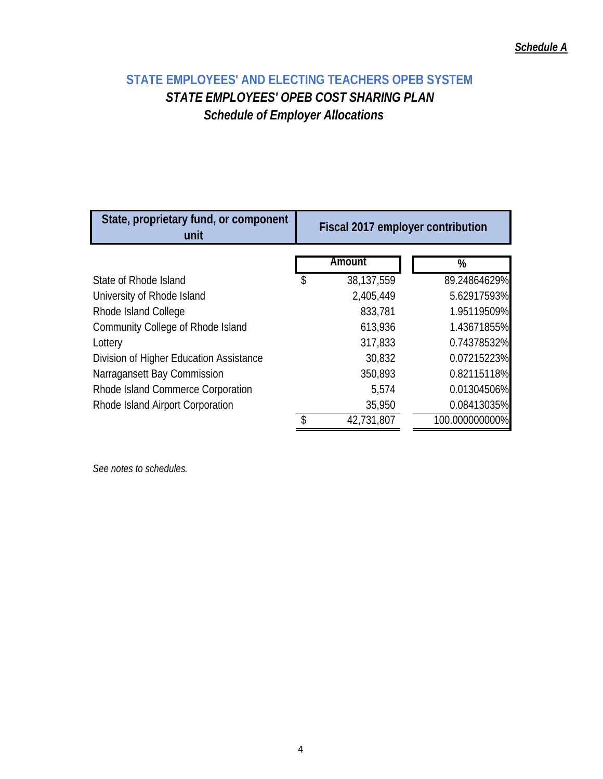# **STATE EMPLOYEES' AND ELECTING TEACHERS OPEB SYSTEM**  *STATE EMPLOYEES' OPEB COST SHARING PLAN Schedule of Employer Allocations*

| State, proprietary fund, or component<br>unit | Fiscal 2017 employer contribution |            |                |  |  |  |
|-----------------------------------------------|-----------------------------------|------------|----------------|--|--|--|
|                                               |                                   | Amount     | %              |  |  |  |
| State of Rhode Island                         | \$                                | 38,137,559 | 89.24864629%   |  |  |  |
| University of Rhode Island                    |                                   | 2,405,449  | 5.62917593%    |  |  |  |
| Rhode Island College                          |                                   | 833,781    | 1.95119509%    |  |  |  |
| Community College of Rhode Island             |                                   | 613,936    | 1.43671855%    |  |  |  |
| Lottery                                       |                                   | 317,833    | 0.74378532%    |  |  |  |
| Division of Higher Education Assistance       |                                   | 30,832     | 0.07215223%    |  |  |  |
| Narragansett Bay Commission                   |                                   | 350,893    | 0.82115118%    |  |  |  |
| Rhode Island Commerce Corporation             |                                   | 5,574      | 0.01304506%    |  |  |  |
| Rhode Island Airport Corporation              |                                   | 35,950     | 0.08413035%    |  |  |  |
|                                               |                                   | 42,731,807 | 100.000000000% |  |  |  |

*See notes to schedules.*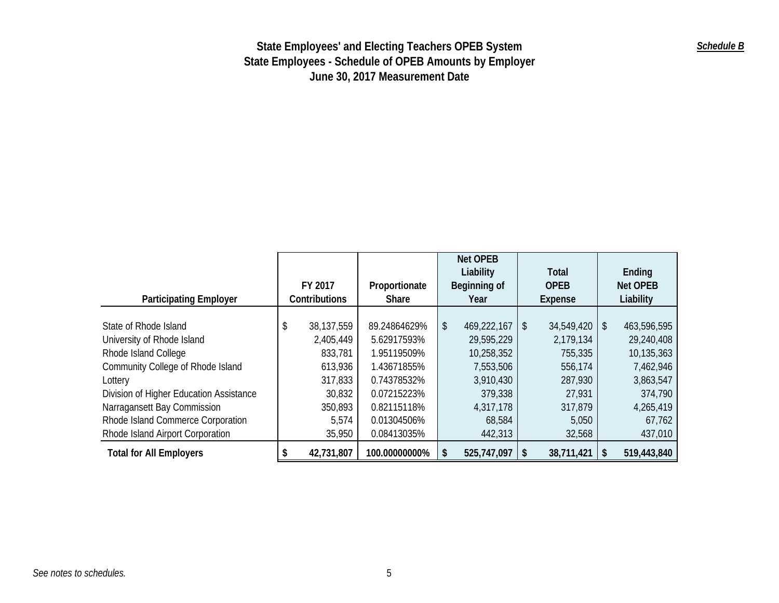| <b>Participating Employer</b>           | FY 2017<br>Contributions | Proportionate<br>Share | <b>Net OPEB</b><br>Liability<br>Beginning of<br>Year |             |    | <b>Total</b><br><b>OPEB</b><br>Expense |                           | Ending<br>Net OPEB<br>Liability |
|-----------------------------------------|--------------------------|------------------------|------------------------------------------------------|-------------|----|----------------------------------------|---------------------------|---------------------------------|
|                                         |                          |                        |                                                      |             |    |                                        |                           |                                 |
| State of Rhode Island                   | \$<br>38,137,559         | 89.24864629%           | \$                                                   | 469,222,167 | \$ | 34,549,420                             | $\boldsymbol{\mathsf{S}}$ | 463,596,595                     |
| University of Rhode Island              | 2,405,449                | 5.62917593%            |                                                      | 29,595,229  |    | 2,179,134                              |                           | 29,240,408                      |
| Rhode Island College                    | 833,781                  | 1.95119509%            |                                                      | 10,258,352  |    | 755,335                                |                           | 10,135,363                      |
| Community College of Rhode Island       | 613,936                  | 1.43671855%            |                                                      | 7,553,506   |    | 556,174                                |                           | 7,462,946                       |
| Lottery                                 | 317,833                  | 0.74378532%            |                                                      | 3,910,430   |    | 287,930                                |                           | 3,863,547                       |
| Division of Higher Education Assistance | 30,832                   | 0.07215223%            |                                                      | 379,338     |    | 27,931                                 |                           | 374,790                         |
| Narragansett Bay Commission             | 350,893                  | 0.82115118%            |                                                      | 4,317,178   |    | 317,879                                |                           | 4,265,419                       |
| Rhode Island Commerce Corporation       | 5,574                    | 0.01304506%            |                                                      | 68,584      |    | 5,050                                  |                           | 67,762                          |
| Rhode Island Airport Corporation        | 35,950                   | 0.08413035%            |                                                      | 442,313     |    | 32,568                                 |                           | 437,010                         |
| <b>Total for All Employers</b>          | 42,731,807               | 100.00000000%          | \$                                                   | 525,747,097 | S. | 38,711,421                             | S                         | 519,443,840                     |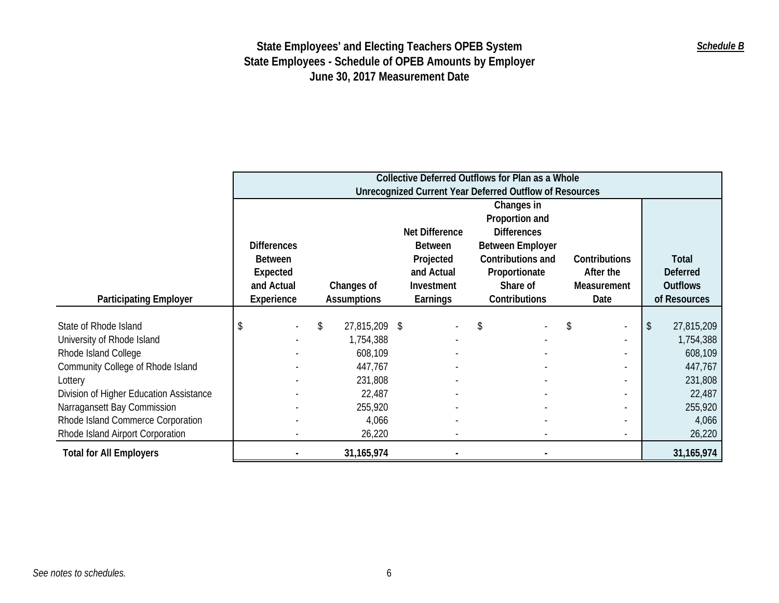|                                         | Collective Deferred Outflows for Plan as a Whole |                                                                |                    |                |                         |                          |    |                 |  |  |
|-----------------------------------------|--------------------------------------------------|----------------------------------------------------------------|--------------------|----------------|-------------------------|--------------------------|----|-----------------|--|--|
|                                         |                                                  | <b>Unrecognized Current Year Deferred Outflow of Resources</b> |                    |                |                         |                          |    |                 |  |  |
|                                         |                                                  |                                                                |                    |                | Changes in              |                          |    |                 |  |  |
|                                         |                                                  |                                                                |                    |                | Proportion and          |                          |    |                 |  |  |
|                                         |                                                  |                                                                |                    | Net Difference | <b>Differences</b>      |                          |    |                 |  |  |
|                                         | <b>Differences</b>                               |                                                                |                    | <b>Between</b> | <b>Between Employer</b> |                          |    |                 |  |  |
|                                         | <b>Between</b>                                   |                                                                |                    | Projected      | Contributions and       | Contributions            |    | Total           |  |  |
|                                         | Expected                                         |                                                                |                    | and Actual     | Proportionate           | After the                |    | <b>Deferred</b> |  |  |
|                                         | and Actual                                       |                                                                | Changes of         | Investment     | Share of                | Measurement              |    | <b>Outflows</b> |  |  |
| <b>Participating Employer</b>           | Experience                                       |                                                                | <b>Assumptions</b> | Earnings       | Contributions           | Date                     |    | of Resources    |  |  |
|                                         |                                                  |                                                                |                    |                |                         |                          |    |                 |  |  |
| State of Rhode Island                   | \$                                               | \$                                                             | 27,815,209 \$      |                | \$.                     | \$<br>$\blacksquare$     | \$ | 27,815,209      |  |  |
| University of Rhode Island              |                                                  |                                                                | 1,754,388          |                |                         |                          |    | 1,754,388       |  |  |
| Rhode Island College                    |                                                  |                                                                | 608,109            |                |                         |                          |    | 608,109         |  |  |
| Community College of Rhode Island       |                                                  |                                                                | 447,767            |                |                         | $\overline{\phantom{a}}$ |    | 447,767         |  |  |
| Lottery                                 |                                                  |                                                                | 231,808            |                |                         |                          |    | 231,808         |  |  |
| Division of Higher Education Assistance |                                                  |                                                                | 22,487             |                |                         | $\overline{\phantom{a}}$ |    | 22,487          |  |  |
| Narragansett Bay Commission             |                                                  |                                                                | 255,920            |                |                         |                          |    | 255,920         |  |  |
| Rhode Island Commerce Corporation       |                                                  |                                                                | 4,066              |                |                         |                          |    | 4,066           |  |  |
| Rhode Island Airport Corporation        |                                                  |                                                                | 26,220             |                |                         |                          |    | 26,220          |  |  |
| <b>Total for All Employers</b>          |                                                  |                                                                | 31, 165, 974       |                |                         |                          |    | 31,165,974      |  |  |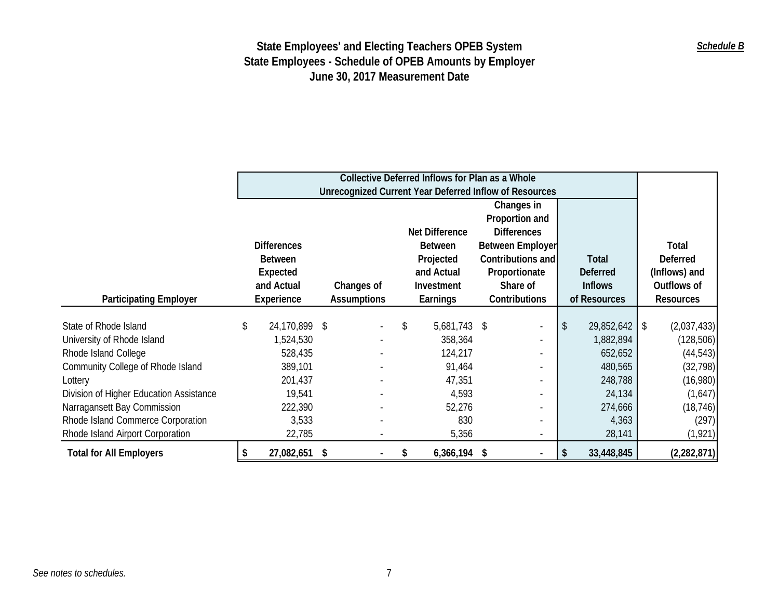|                                         | Collective Deferred Inflows for Plan as a Whole |                                                        |  |                    |    |                |                          |    |                 |               |                  |
|-----------------------------------------|-------------------------------------------------|--------------------------------------------------------|--|--------------------|----|----------------|--------------------------|----|-----------------|---------------|------------------|
|                                         |                                                 | Unrecognized Current Year Deferred Inflow of Resources |  |                    |    |                |                          |    |                 |               |                  |
|                                         |                                                 |                                                        |  |                    |    |                | Changes in               |    |                 |               |                  |
|                                         |                                                 |                                                        |  |                    |    |                | Proportion and           |    |                 |               |                  |
|                                         |                                                 |                                                        |  |                    |    | Net Difference | <b>Differences</b>       |    |                 |               |                  |
|                                         |                                                 | <b>Differences</b>                                     |  |                    |    | <b>Between</b> | Between Employer         |    |                 |               | Total            |
|                                         |                                                 | <b>Between</b>                                         |  |                    |    | Projected      | Contributions and        |    | <b>Total</b>    |               | <b>Deferred</b>  |
|                                         |                                                 | Expected                                               |  |                    |    | and Actual     | Proportionate            |    | <b>Deferred</b> | (Inflows) and |                  |
|                                         |                                                 | and Actual                                             |  | Changes of         |    | Investment     | Share of                 |    | <b>Inflows</b>  |               | Outflows of      |
| <b>Participating Employer</b>           |                                                 | Experience                                             |  | <b>Assumptions</b> |    | Earnings       | Contributions            |    | of Resources    |               | <b>Resources</b> |
|                                         |                                                 |                                                        |  |                    |    |                |                          |    |                 |               |                  |
| State of Rhode Island                   | \$                                              | 24,170,899 \$                                          |  |                    | \$ | 5,681,743 \$   | $\sim$                   | \$ | 29,852,642      | \$            | (2,037,433)      |
| University of Rhode Island              |                                                 | 1,524,530                                              |  |                    |    | 358,364        |                          |    | 1,882,894       |               | (128, 506)       |
| Rhode Island College                    |                                                 | 528,435                                                |  |                    |    | 124,217        |                          |    | 652,652         |               | (44, 543)        |
| Community College of Rhode Island       |                                                 | 389,101                                                |  |                    |    | 91,464         |                          |    | 480,565         |               | (32, 798)        |
| Lottery                                 |                                                 | 201,437                                                |  |                    |    | 47,351         |                          |    | 248,788         |               | (16,980)         |
| Division of Higher Education Assistance |                                                 | 19,541                                                 |  |                    |    | 4,593          |                          |    | 24,134          |               | (1,647)          |
| Narragansett Bay Commission             |                                                 | 222,390                                                |  |                    |    | 52,276         |                          |    | 274,666         |               | (18, 746)        |
| Rhode Island Commerce Corporation       |                                                 | 3,533                                                  |  |                    |    | 830            |                          |    | 4,363           |               | (297)            |
| Rhode Island Airport Corporation        |                                                 | 22,785                                                 |  |                    |    | 5,356          | $\overline{\phantom{a}}$ |    | 28,141          |               | (1, 921)         |
| <b>Total for All Employers</b>          |                                                 | 27,082,651 \$                                          |  |                    | S  | $6,366,194$ \$ |                          |    | 33,448,845      |               | (2,282,871)      |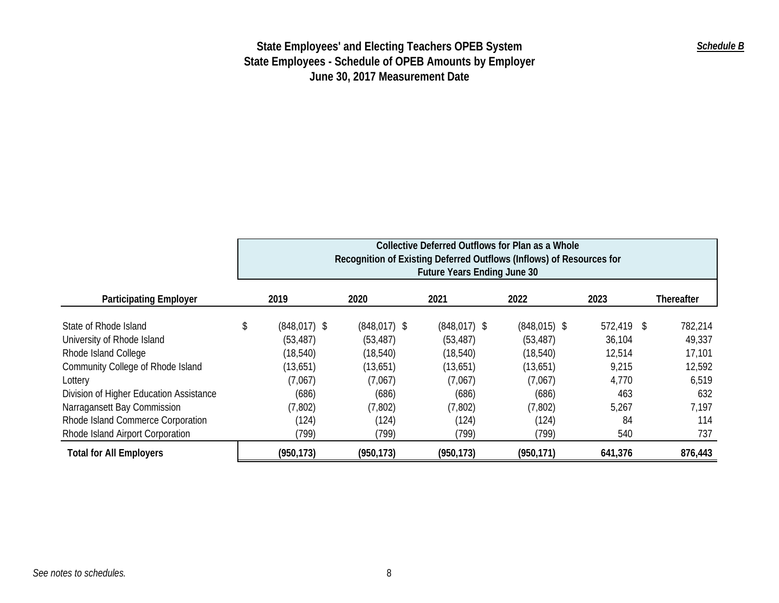|                                         | Collective Deferred Outflows for Plan as a Whole                     |                 |                                    |                |            |            |  |  |  |  |
|-----------------------------------------|----------------------------------------------------------------------|-----------------|------------------------------------|----------------|------------|------------|--|--|--|--|
|                                         | Recognition of Existing Deferred Outflows (Inflows) of Resources for |                 |                                    |                |            |            |  |  |  |  |
|                                         |                                                                      |                 | <b>Future Years Ending June 30</b> |                |            |            |  |  |  |  |
| <b>Participating Employer</b>           | 2019                                                                 | 2020            | 2021                               | 2022           | 2023       | Thereafter |  |  |  |  |
| State of Rhode Island                   | \$<br>$(848, 017)$ \$                                                | $(848, 017)$ \$ | $(848, 017)$ \$                    | $(848,015)$ \$ | 572,419 \$ | 782,214    |  |  |  |  |
| University of Rhode Island              | (53, 487)                                                            | (53, 487)       | (53, 487)                          | (53, 487)      | 36,104     | 49,337     |  |  |  |  |
| Rhode Island College                    | (18, 540)                                                            | (18, 540)       | (18, 540)                          | (18, 540)      | 12,514     | 17,101     |  |  |  |  |
| Community College of Rhode Island       | (13,651)                                                             | (13,651)        | (13,651)                           | (13,651)       | 9,215      | 12,592     |  |  |  |  |
| Lottery                                 | (7,067)                                                              | (7,067)         | (7,067)                            | (7,067)        | 4,770      | 6,519      |  |  |  |  |
| Division of Higher Education Assistance | (686)                                                                | (686)           | (686)                              | (686)          | 463        | 632        |  |  |  |  |
| Narragansett Bay Commission             | (7, 802)                                                             | (7,802)         | (7,802)                            | (7, 802)       | 5,267      | 7,197      |  |  |  |  |
| Rhode Island Commerce Corporation       | (124)                                                                | (124)           | (124)                              | (124)          | 84         | 114        |  |  |  |  |
| Rhode Island Airport Corporation        | (799)                                                                | (799)           | (799)                              | (799)          | 540        | 737        |  |  |  |  |
| <b>Total for All Employers</b>          | (950, 173)                                                           | (950, 173)      | (950, 173)                         | (950, 171)     | 641,376    | 876,443    |  |  |  |  |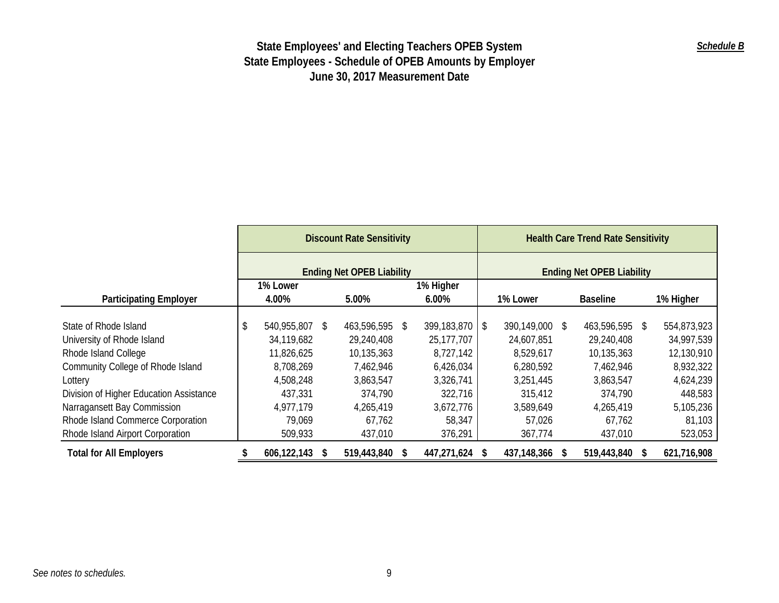|                                         | <b>Discount Rate Sensitivity</b> |             |    |                                  |               | <b>Health Care Trend Rate Sensitivity</b> |                                  |                |   |                 |  |             |  |
|-----------------------------------------|----------------------------------|-------------|----|----------------------------------|---------------|-------------------------------------------|----------------------------------|----------------|---|-----------------|--|-------------|--|
|                                         |                                  |             |    | <b>Ending Net OPEB Liability</b> |               |                                           | <b>Ending Net OPEB Liability</b> |                |   |                 |  |             |  |
|                                         |                                  | 1% Lower    |    |                                  |               | 1% Higher                                 |                                  |                |   |                 |  |             |  |
| <b>Participating Employer</b>           |                                  | 4.00%       |    | 5.00%<br>$6.00\%$                |               |                                           |                                  | 1% Lower       |   | <b>Baseline</b> |  | 1% Higher   |  |
| State of Rhode Island                   | S.                               | 540,955,807 | S. | 463,596,595                      | <sup>\$</sup> | 399,183,870 \$                            |                                  | 390,149,000 \$ |   | 463,596,595 \$  |  | 554,873,923 |  |
| University of Rhode Island              |                                  | 34,119,682  |    | 29,240,408                       |               | 25,177,707                                |                                  | 24,607,851     |   | 29,240,408      |  | 34,997,539  |  |
| Rhode Island College                    |                                  | 11,826,625  |    | 10,135,363                       |               | 8,727,142                                 |                                  | 8,529,617      |   | 10,135,363      |  | 12,130,910  |  |
| Community College of Rhode Island       |                                  | 8,708,269   |    | 7,462,946                        |               | 6,426,034                                 |                                  | 6,280,592      |   | 7,462,946       |  | 8,932,322   |  |
| Lottery                                 |                                  | 4,508,248   |    | 3,863,547                        |               | 3,326,741                                 |                                  | 3,251,445      |   | 3,863,547       |  | 4,624,239   |  |
| Division of Higher Education Assistance |                                  | 437,331     |    | 374,790                          |               | 322,716                                   |                                  | 315,412        |   | 374,790         |  | 448,583     |  |
| Narragansett Bay Commission             |                                  | 4,977,179   |    | 4,265,419                        |               | 3,672,776                                 |                                  | 3,589,649      |   | 4,265,419       |  | 5,105,236   |  |
| Rhode Island Commerce Corporation       |                                  | 79,069      |    | 67,762                           |               | 58,347                                    |                                  | 57,026         |   | 67,762          |  | 81,103      |  |
| Rhode Island Airport Corporation        |                                  | 509,933     |    | 437,010                          |               | 376,291                                   |                                  | 367,774        |   | 437,010         |  | 523,053     |  |
| <b>Total for All Employers</b>          |                                  | 606,122,143 | S  | 519,443,840                      | з,            | 447,271,624                               |                                  | 437,148,366    | S | 519,443,840     |  | 621,716,908 |  |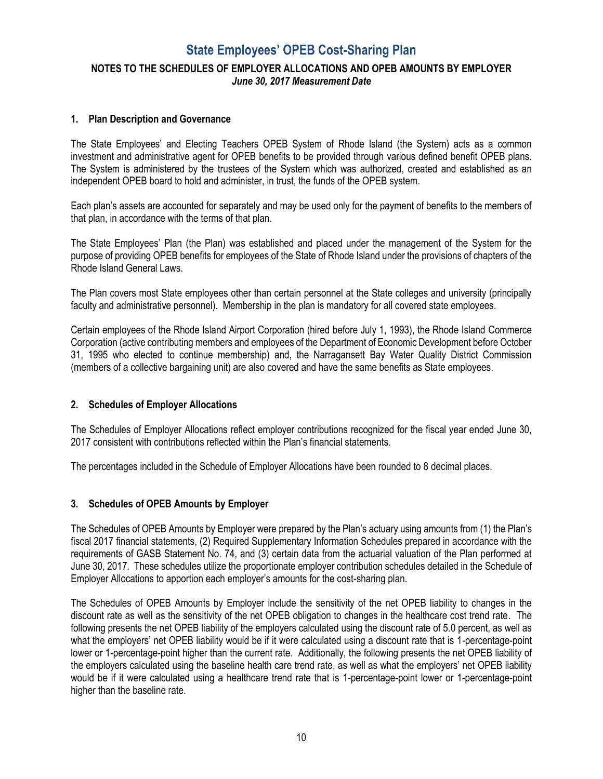# **State Employees' OPEB Cost-Sharing Plan NOTES TO THE SCHEDULES OF EMPLOYER ALLOCATIONS AND OPEB AMOUNTS BY EMPLOYER**  *June 30, 2017 Measurement Date*

### **1. Plan Description and Governance**

The State Employees' and Electing Teachers OPEB System of Rhode Island (the System) acts as a common investment and administrative agent for OPEB benefits to be provided through various defined benefit OPEB plans. The System is administered by the trustees of the System which was authorized, created and established as an independent OPEB board to hold and administer, in trust, the funds of the OPEB system.

Each plan's assets are accounted for separately and may be used only for the payment of benefits to the members of that plan, in accordance with the terms of that plan.

The State Employees' Plan (the Plan) was established and placed under the management of the System for the purpose of providing OPEB benefits for employees of the State of Rhode Island under the provisions of chapters of the Rhode Island General Laws.

The Plan covers most State employees other than certain personnel at the State colleges and university (principally faculty and administrative personnel). Membership in the plan is mandatory for all covered state employees.

Certain employees of the Rhode Island Airport Corporation (hired before July 1, 1993), the Rhode Island Commerce Corporation (active contributing members and employees of the Department of Economic Development before October 31, 1995 who elected to continue membership) and, the Narragansett Bay Water Quality District Commission (members of a collective bargaining unit) are also covered and have the same benefits as State employees.

#### **2. Schedules of Employer Allocations**

The Schedules of Employer Allocations reflect employer contributions recognized for the fiscal year ended June 30, 2017 consistent with contributions reflected within the Plan's financial statements.

The percentages included in the Schedule of Employer Allocations have been rounded to 8 decimal places.

#### **3. Schedules of OPEB Amounts by Employer**

The Schedules of OPEB Amounts by Employer were prepared by the Plan's actuary using amounts from (1) the Plan's fiscal 2017 financial statements, (2) Required Supplementary Information Schedules prepared in accordance with the requirements of GASB Statement No. 74, and (3) certain data from the actuarial valuation of the Plan performed at June 30, 2017. These schedules utilize the proportionate employer contribution schedules detailed in the Schedule of Employer Allocations to apportion each employer's amounts for the cost-sharing plan.

The Schedules of OPEB Amounts by Employer include the sensitivity of the net OPEB liability to changes in the discount rate as well as the sensitivity of the net OPEB obligation to changes in the healthcare cost trend rate. The following presents the net OPEB liability of the employers calculated using the discount rate of 5.0 percent, as well as what the employers' net OPEB liability would be if it were calculated using a discount rate that is 1-percentage-point lower or 1-percentage-point higher than the current rate. Additionally, the following presents the net OPEB liability of the employers calculated using the baseline health care trend rate, as well as what the employers' net OPEB liability would be if it were calculated using a healthcare trend rate that is 1-percentage-point lower or 1-percentage-point higher than the baseline rate.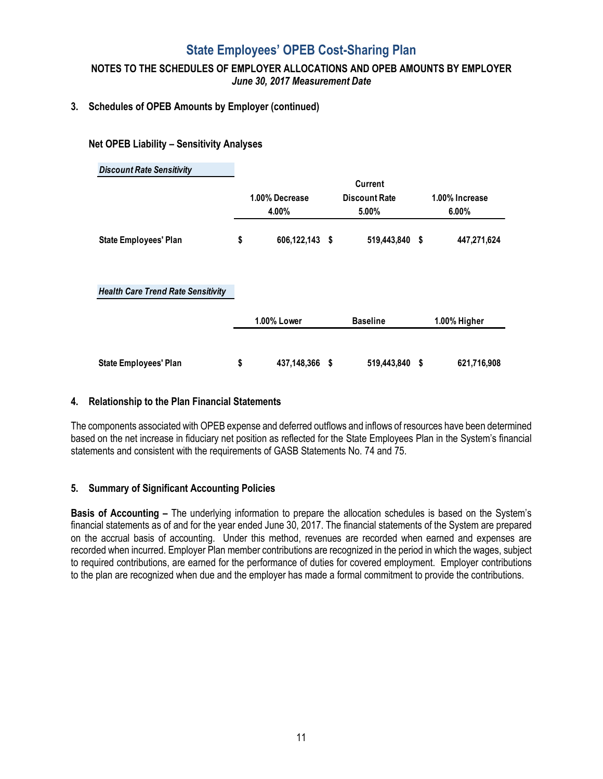## **State Employees' OPEB Cost-Sharing Plan**

**NOTES TO THE SCHEDULES OF EMPLOYER ALLOCATIONS AND OPEB AMOUNTS BY EMPLOYER**  *June 30, 2017 Measurement Date*

### **3. Schedules of OPEB Amounts by Employer (continued)**

**Net OPEB Liability – Sensitivity Analyses**

| <b>Discount Rate Sensitivity</b>          |                      |      |                      |                |
|-------------------------------------------|----------------------|------|----------------------|----------------|
|                                           |                      |      | <b>Current</b>       |                |
|                                           | 1.00% Decrease       |      | <b>Discount Rate</b> | 1.00% Increase |
|                                           | 4.00%                |      | 5.00%                | 6.00%          |
| <b>State Employees' Plan</b>              | \$<br>606,122,143 \$ |      | 519,443,840 \$       | 447,271,624    |
| <b>Health Care Trend Rate Sensitivity</b> |                      |      |                      |                |
|                                           | <b>1.00% Lower</b>   |      | <b>Baseline</b>      | 1.00% Higher   |
| <b>State Employees' Plan</b>              | \$<br>437,148,366    | - \$ | 519,443,840 \$       | 621,716,908    |

#### **4. Relationship to the Plan Financial Statements**

The components associated with OPEB expense and deferred outflows and inflows of resources have been determined based on the net increase in fiduciary net position as reflected for the State Employees Plan in the System's financial statements and consistent with the requirements of GASB Statements No. 74 and 75.

#### **5. Summary of Significant Accounting Policies**

**Basis of Accounting –** The underlying information to prepare the allocation schedules is based on the System's financial statements as of and for the year ended June 30, 2017. The financial statements of the System are prepared on the accrual basis of accounting. Under this method, revenues are recorded when earned and expenses are recorded when incurred. Employer Plan member contributions are recognized in the period in which the wages, subject to required contributions, are earned for the performance of duties for covered employment. Employer contributions to the plan are recognized when due and the employer has made a formal commitment to provide the contributions.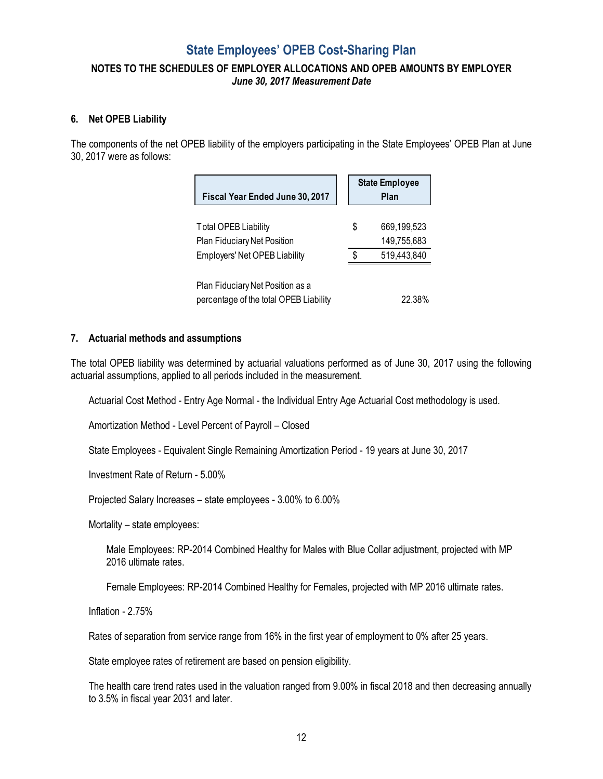### **State Employees' OPEB Cost-Sharing Plan**

### **NOTES TO THE SCHEDULES OF EMPLOYER ALLOCATIONS AND OPEB AMOUNTS BY EMPLOYER**  *June 30, 2017 Measurement Date*

#### **6. Net OPEB Liability**

The components of the net OPEB liability of the employers participating in the State Employees' OPEB Plan at June 30, 2017 were as follows:

| Fiscal Year Ended June 30, 2017                                                                    |          | <b>State Employee</b><br>Plan             |
|----------------------------------------------------------------------------------------------------|----------|-------------------------------------------|
| <b>Total OPEB Liability</b><br>Plan Fiduciary Net Position<br><b>Employers' Net OPEB Liability</b> | \$<br>\$ | 669,199,523<br>149,755,683<br>519,443,840 |
| Plan Fiduciary Net Position as a<br>percentage of the total OPEB Liability                         |          | 22.38%                                    |

#### **7. Actuarial methods and assumptions**

The total OPEB liability was determined by actuarial valuations performed as of June 30, 2017 using the following actuarial assumptions, applied to all periods included in the measurement.

Actuarial Cost Method - Entry Age Normal - the Individual Entry Age Actuarial Cost methodology is used.

Amortization Method - Level Percent of Payroll – Closed

State Employees - Equivalent Single Remaining Amortization Period - 19 years at June 30, 2017

Investment Rate of Return - 5.00%

Projected Salary Increases – state employees - 3.00% to 6.00%

Mortality – state employees:

Male Employees: RP-2014 Combined Healthy for Males with Blue Collar adjustment, projected with MP 2016 ultimate rates.

Female Employees: RP-2014 Combined Healthy for Females, projected with MP 2016 ultimate rates.

Inflation - 2.75%

Rates of separation from service range from 16% in the first year of employment to 0% after 25 years.

State employee rates of retirement are based on pension eligibility.

The health care trend rates used in the valuation ranged from 9.00% in fiscal 2018 and then decreasing annually to 3.5% in fiscal year 2031 and later.